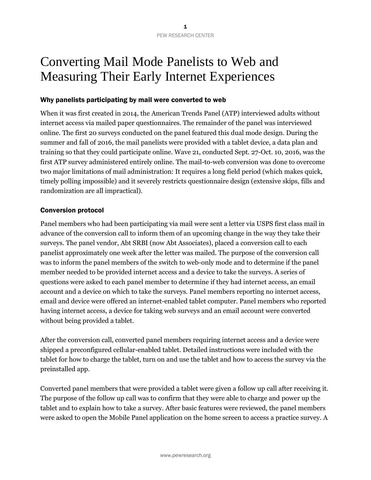# Converting Mail Mode Panelists to Web and Measuring Their Early Internet Experiences

## Why panelists participating by mail were converted to web

When it was first created in 2014, the American Trends Panel (ATP) interviewed adults without internet access via mailed paper questionnaires. The remainder of the panel was interviewed online. The first 20 surveys conducted on the panel featured this dual mode design. During the summer and fall of 2016, the mail panelists were provided with a tablet device, a data plan and training so that they could participate online. Wave 21, conducted Sept. 27-Oct. 10, 2016, was the first ATP survey administered entirely online. The mail-to-web conversion was done to overcome two major limitations of mail administration: It requires a long field period (which makes quick, timely polling impossible) and it severely restricts questionnaire design (extensive skips, fills and randomization are all impractical).

### Conversion protocol

Panel members who had been participating via mail were sent a letter via USPS first class mail in advance of the conversion call to inform them of an upcoming change in the way they take their surveys. The panel vendor, Abt SRBI (now Abt Associates), placed a conversion call to each panelist approximately one week after the letter was mailed. The purpose of the conversion call was to inform the panel members of the switch to web-only mode and to determine if the panel member needed to be provided internet access and a device to take the surveys. A series of questions were asked to each panel member to determine if they had internet access, an email account and a device on which to take the surveys. Panel members reporting no internet access, email and device were offered an internet-enabled tablet computer. Panel members who reported having internet access, a device for taking web surveys and an email account were converted without being provided a tablet.

After the conversion call, converted panel members requiring internet access and a device were shipped a preconfigured cellular-enabled tablet. Detailed instructions were included with the tablet for how to charge the tablet, turn on and use the tablet and how to access the survey via the preinstalled app.

Converted panel members that were provided a tablet were given a follow up call after receiving it. The purpose of the follow up call was to confirm that they were able to charge and power up the tablet and to explain how to take a survey. After basic features were reviewed, the panel members were asked to open the Mobile Panel application on the home screen to access a practice survey. A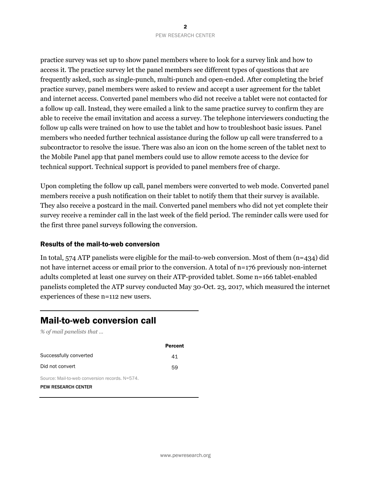practice survey was set up to show panel members where to look for a survey link and how to access it. The practice survey let the panel members see different types of questions that are frequently asked, such as single-punch, multi-punch and open-ended. After completing the brief practice survey, panel members were asked to review and accept a user agreement for the tablet and internet access. Converted panel members who did not receive a tablet were not contacted for a follow up call. Instead, they were emailed a link to the same practice survey to confirm they are able to receive the email invitation and access a survey. The telephone interviewers conducting the follow up calls were trained on how to use the tablet and how to troubleshoot basic issues. Panel members who needed further technical assistance during the follow up call were transferred to a subcontractor to resolve the issue. There was also an icon on the home screen of the tablet next to the Mobile Panel app that panel members could use to allow remote access to the device for technical support. Technical support is provided to panel members free of charge.

Upon completing the follow up call, panel members were converted to web mode. Converted panel members receive a push notification on their tablet to notify them that their survey is available. They also receive a postcard in the mail. Converted panel members who did not yet complete their survey receive a reminder call in the last week of the field period. The reminder calls were used for the first three panel surveys following the conversion.

#### Results of the mail-to-web conversion

In total, 574 ATP panelists were eligible for the mail-to-web conversion. Most of them (n=434) did not have internet access or email prior to the conversion. A total of n=176 previously non-internet adults completed at least one survey on their ATP-provided tablet. Some n=166 tablet-enabled panelists completed the ATP survey conducted May 30-Oct. 23, 2017, which measured the internet experiences of these n=112 new users.

# Mail-to-web conversion call

*% of mail panelists that …*

|                                                | <b>Percent</b> |
|------------------------------------------------|----------------|
| Successfully converted                         | 41             |
| Did not convert                                | 59             |
| Source: Mail-to-web conversion records. N=574. |                |
| <b>PEW RESEARCH CENTER</b>                     |                |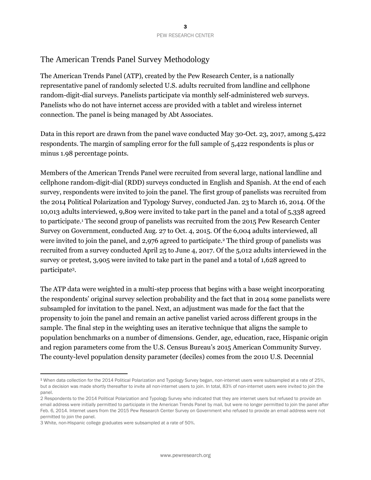## The American Trends Panel Survey Methodology

The American Trends Panel (ATP), created by the Pew Research Center, is a nationally representative panel of randomly selected U.S. adults recruited from landline and cellphone random-digit-dial surveys. Panelists participate via monthly self-administered web surveys. Panelists who do not have internet access are provided with a tablet and wireless internet connection. The panel is being managed by Abt Associates.

Data in this report are drawn from the panel wave conducted May 30-Oct. 23, 2017, among 5,422 respondents. The margin of sampling error for the full sample of 5,422 respondents is plus or minus 1.98 percentage points.

Members of the American Trends Panel were recruited from several large, national landline and cellphone random-digit-dial (RDD) surveys conducted in English and Spanish. At the end of each survey, respondents were invited to join the panel. The first group of panelists was recruited from the 2014 Political Polarization and Typology Survey, conducted Jan. 23 to March 16, 2014. Of the 10,013 adults interviewed, 9,809 were invited to take part in the panel and a total of 5,338 agreed to participate.<sup>1</sup> The second group of panelists was recruited from the 2015 Pew Research Center Survey on Government, conducted Aug. 27 to Oct. 4, 2015. Of the 6,004 adults interviewed, all were invited to join the panel, and 2,976 agreed to participate.<sup>2</sup> The third group of panelists was recruited from a survey conducted April 25 to June 4, 2017. Of the 5,012 adults interviewed in the survey or pretest, 3,905 were invited to take part in the panel and a total of 1,628 agreed to participate<sup>3</sup> .

The ATP data were weighted in a multi-step process that begins with a base weight incorporating the respondents' original survey selection probability and the fact that in 2014 some panelists were subsampled for invitation to the panel. Next, an adjustment was made for the fact that the propensity to join the panel and remain an active panelist varied across different groups in the sample. The final step in the weighting uses an iterative technique that aligns the sample to population benchmarks on a number of dimensions. Gender, age, education, race, Hispanic origin and region parameters come from the U.S. Census Bureau's 2015 American Community Survey. The county-level population density parameter (deciles) comes from the 2010 U.S. Decennial

 $\overline{a}$ 

<sup>1</sup> When data collection for the 2014 Political Polarization and Typology Survey began, non-internet users were subsampled at a rate of 25%, but a decision was made shortly thereafter to invite all non-internet users to join. In total, 83% of non-internet users were invited to join the panel.

<sup>2</sup> Respondents to the 2014 Political Polarization and Typology Survey who indicated that they are internet users but refused to provide an email address were initially permitted to participate in the American Trends Panel by mail, but were no longer permitted to join the panel after Feb. 6, 2014. Internet users from the 2015 Pew Research Center Survey on Government who refused to provide an email address were not permitted to join the panel.

<sup>3</sup> White, non-Hispanic college graduates were subsampled at a rate of 50%.